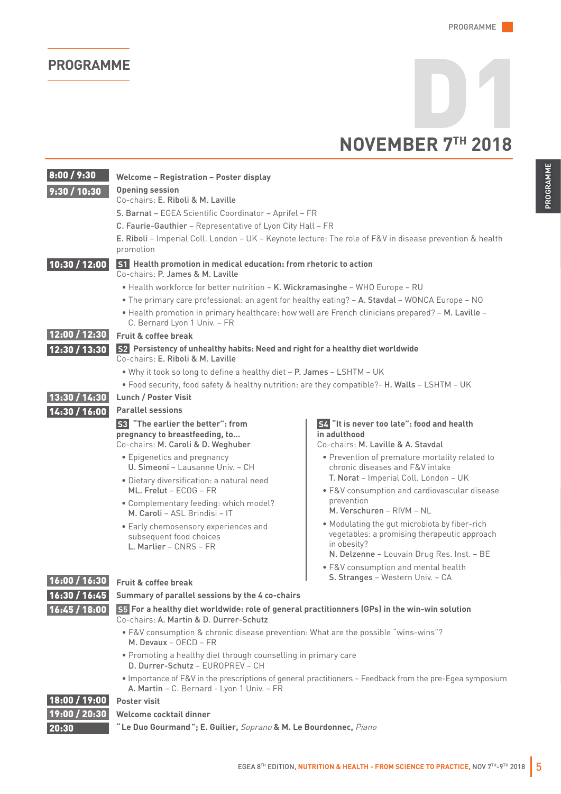## **NOVEMBER 7** D1 **TH 2018**

| 8:00 / 9:30   | Welcome - Registration - Poster display                                                                                                                |                                                                                                                                                                                                                       |  |
|---------------|--------------------------------------------------------------------------------------------------------------------------------------------------------|-----------------------------------------------------------------------------------------------------------------------------------------------------------------------------------------------------------------------|--|
| 9:30 / 10:30  | <b>Opening session</b><br>Co-chairs: E. Riboli & M. Laville                                                                                            |                                                                                                                                                                                                                       |  |
|               | S. Barnat - EGEA Scientific Coordinator - Aprifel - FR                                                                                                 |                                                                                                                                                                                                                       |  |
|               | C. Faurie-Gauthier - Representative of Lyon City Hall - FR                                                                                             |                                                                                                                                                                                                                       |  |
|               | E. Riboli - Imperial Coll. London - UK - Keynote lecture: The role of F&V in disease prevention & health<br>promotion                                  |                                                                                                                                                                                                                       |  |
| 10:30 / 12:00 | S1 Health promotion in medical education: from rhetoric to action<br>Co-chairs: P. James & M. Laville                                                  |                                                                                                                                                                                                                       |  |
|               | • Health workforce for better nutrition - K. Wickramasinghe - WHO Europe - RU                                                                          |                                                                                                                                                                                                                       |  |
|               | . The primary care professional: an agent for healthy eating? - A. Stavdal - WONCA Europe - NO                                                         |                                                                                                                                                                                                                       |  |
|               | . Health promotion in primary healthcare: how well are French clinicians prepared? - M. Laville -<br>C. Bernard Lyon 1 Univ. - FR                      |                                                                                                                                                                                                                       |  |
| 12:00 / 12:30 | Fruit & coffee break                                                                                                                                   |                                                                                                                                                                                                                       |  |
| 12:30 / 13:30 | S2 Persistency of unhealthy habits: Need and right for a healthy diet worldwide<br>Co-chairs: E. Riboli & M. Laville                                   |                                                                                                                                                                                                                       |  |
|               | . Why it took so long to define a healthy diet - P. James - LSHTM - UK                                                                                 |                                                                                                                                                                                                                       |  |
|               | . Food security, food safety & healthy nutrition: are they compatible?- H. Walls - LSHTM - UK                                                          |                                                                                                                                                                                                                       |  |
| 13:30 / 14:30 | <b>Lunch / Poster Visit</b>                                                                                                                            |                                                                                                                                                                                                                       |  |
| 14:30 / 16:00 | <b>Parallel sessions</b>                                                                                                                               |                                                                                                                                                                                                                       |  |
|               | <b>S3</b> "The earlier the better": from<br>pregnancy to breastfeeding, to<br>Co-chairs: M. Caroli & D. Weghuber                                       | "It is never too late": food and health<br>in adulthood<br>Co-chairs: M. Laville & A. Stavdal                                                                                                                         |  |
|               | • Epigenetics and pregnancy<br>U. Simeoni - Lausanne Univ. - CH                                                                                        | • Prevention of premature mortality related to<br>chronic diseases and F&V intake<br>T. Norat - Imperial Coll. London - UK<br>• F&V consumption and cardiovascular disease<br>prevention<br>M. Verschuren - RIVM - NL |  |
|               | • Dietary diversification: a natural need<br>ML. Frelut - ECOG - FR                                                                                    |                                                                                                                                                                                                                       |  |
|               | • Complementary feeding: which model?<br>M. Caroli - ASL Brindisi - IT                                                                                 |                                                                                                                                                                                                                       |  |
|               | • Early chemosensory experiences and<br>subsequent food choices<br>L. Marlier - CNRS - FR                                                              | . Modulating the gut microbiota by fiber-rich<br>vegetables: a promising therapeutic approach<br>in obesity?<br>N. Delzenne - Louvain Drug Res. Inst. - BE                                                            |  |
| 16:00/16:30   | <b>Fruit &amp; coffee break</b>                                                                                                                        | • F&V consumption and mental health<br>S. Stranges - Western Univ. - CA                                                                                                                                               |  |
| 16:30 / 16:45 |                                                                                                                                                        |                                                                                                                                                                                                                       |  |
|               | Summary of parallel sessions by the 4 co-chairs                                                                                                        |                                                                                                                                                                                                                       |  |
| 16:45/18:00   | S5 For a healthy diet worldwide: role of general practitionners (GPs) in the win-win solution<br>Co-chairs: A. Martin & D. Durrer-Schutz               |                                                                                                                                                                                                                       |  |
|               | • F&V consumption & chronic disease prevention: What are the possible "wins-wins"?<br>M. Devaux $-$ OECD $-$ FR                                        |                                                                                                                                                                                                                       |  |
|               | . Promoting a healthy diet through counselling in primary care<br>D. Durrer-Schutz - EUROPREV - CH                                                     |                                                                                                                                                                                                                       |  |
|               | . Importance of F&V in the prescriptions of general practitioners - Feedback from the pre-Egea symposium<br>A. Martin - C. Bernard - Lyon 1 Univ. - FR |                                                                                                                                                                                                                       |  |
| 18:00 / 19:00 | <b>Poster visit</b>                                                                                                                                    |                                                                                                                                                                                                                       |  |
| 19:00 / 20:30 | Welcome cocktail dinner                                                                                                                                |                                                                                                                                                                                                                       |  |
| 20:30         | "Le Duo Gourmand"; E. Guilier, Soprano & M. Le Bourdonnec, Piano                                                                                       |                                                                                                                                                                                                                       |  |
|               |                                                                                                                                                        | EGEA 8TH EDITION, NUTRITION & HEALTH - FROM SCIENCE TO PRACTICE, NOV 7TH-9TH 2018                                                                                                                                     |  |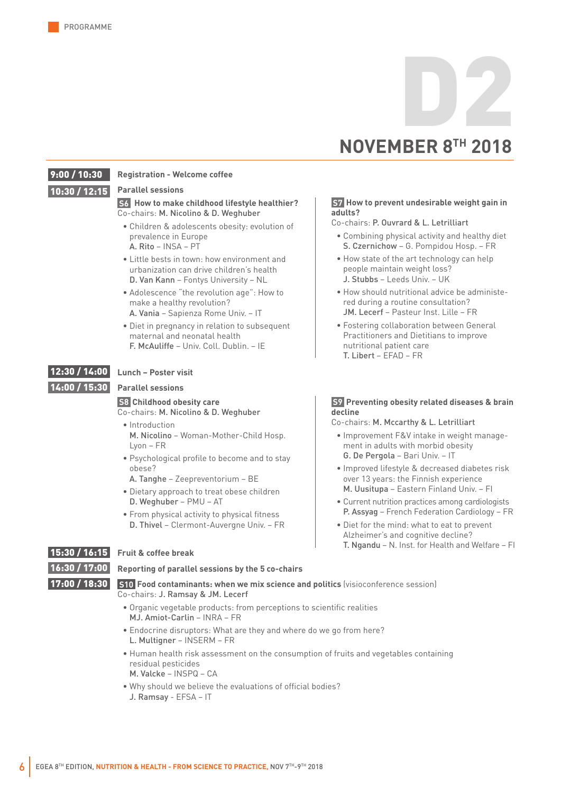# **NOVEMBER 8 TH 2018** D2

#### 10:30 / 12:15 9:00 / 10:30

#### **Parallel sessions**

**Registration - Welcome coffee**

#### **S6 How to make childhood lifestyle healthier?** Co-chairs: M. Nicolino & D. Weghuber

- Children & adolescents obesity: evolution of prevalence in Europe A. Rito – INSA – PT
- Little bests in town: how environment and urbanization can drive children's health D. Van Kann – Fontys University – NL
- Adolescence "the revolution age": How to make a healthy revolution? A. Vania – Sapienza Rome Univ. – IT
- Diet in pregnancy in relation to subsequent maternal and neonatal health F. McAuliffe – Univ. Coll. Dublin. – IE

#### 12:30 / 14:00 **Lunch – Poster visit**

14:00 / 15:30

#### **Parallel sessions**

#### **S8 Childhood obesity care**

Co-chairs: M. Nicolino & D. Weghuber

- Introduction M. Nicolino – Woman-Mother-Child Hosp. Lyon – FR
- Psychological profile to become and to stay obese?
- A. Tanghe Zeepreventorium BE
- Dietary approach to treat obese children D. Weghuber – PMU – AT
- From physical activity to physical fitness D. Thivel – Clermont-Auvergne Univ. – FR

#### **S7 How to prevent undesirable weight gain in adults?**

Co-chairs: P. Ouvrard & L. Letrilliart

- Combining physical activity and healthy diet S. Czernichow – G. Pompidou Hosp. – FR
- How state of the art technology can help people maintain weight loss? J. Stubbs – Leeds Univ. – UK
- How should nutritional advice be administered during a routine consultation? JM. Lecerf – Pasteur Inst. Lille – FR
- Fostering collaboration between General Practitioners and Dietitians to improve nutritional patient care T. Libert – EFAD – FR

#### **S9 Preventing obesity related diseases & brain decline**

Co-chairs: M. Mccarthy & L. Letrilliart

- Improvement F&V intake in weight management in adults with morbid obesity G. De Pergola – Bari Univ. – IT
- Improved lifestyle & decreased diabetes risk over 13 years: the Finnish experience M. Uusitupa – Eastern Finland Univ. – FI
- Current nutrition practices among cardiologists P. Assyag – French Federation Cardiology – FR
- Diet for the mind: what to eat to prevent Alzheimer's and cognitive decline? T. Ngandu – N. Inst. for Health and Welfare – FI

16:30 / 17:00

#### 15:30 / 16:15 **Fruit & coffee break**

### **Reporting of parallel sessions by the 5 co-chairs**

17:00 / 18:30

#### **S10 Food contaminants: when we mix science and politics** (visioconference session) Co-chairs: J. Ramsay & JM. Lecerf

- Organic vegetable products: from perceptions to scientific realities MJ. Amiot-Carlin – INRA – FR
- Endocrine disruptors: What are they and where do we go from here? L. Multigner – INSERM – FR
- Human health risk assessment on the consumption of fruits and vegetables containing residual pesticides M. Valcke – INSPQ – CA
- Why should we believe the evaluations of official bodies? J. Ramsay - EFSA – IT